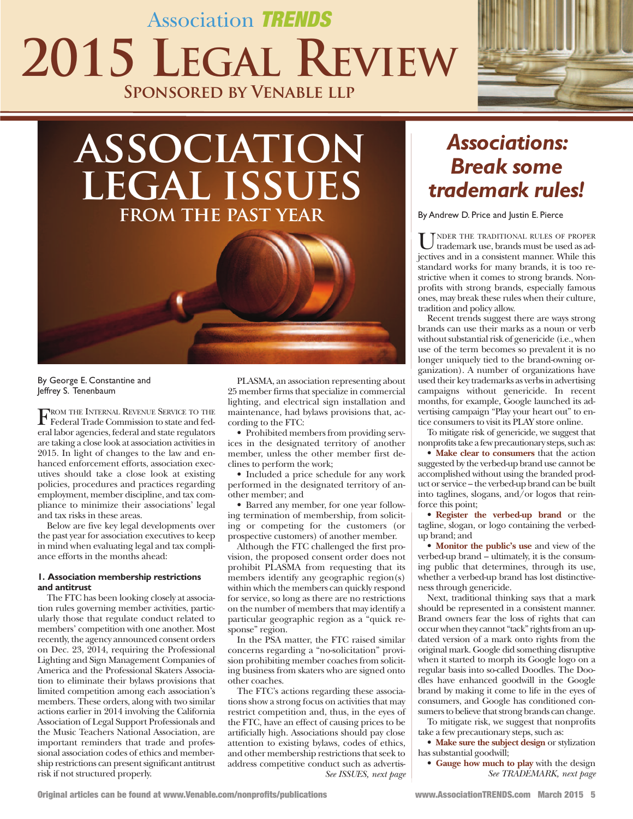## Association TRENDS **2015 LEGAL REVIEW Sponsored by Venable llp**



# **association legal issues from the past year**



By George E. Constantine and Jeffrey S. Tenenbaum

FROM THE INTERNAL REVENUE SERVICE TO THE<br>Federal Trade Commission to state and federal labor agencies, federal and state regulators are taking a close look at association activitiesin 2015. in light of changes to the law and enhanced enforcement efforts, association executives should take a close look at existing policies, procedures and practices regarding employment, member discipline, and tax compliance to minimize their associations' legal and tax risks in these areas.

Below are five key legal developments over the past year for association executives to keep in mind when evaluating legal and tax compliance efforts in the months ahead:

#### **1. Association membership restrictions and antitrust**

The FTC has been looking closely at association rules governing member activities, particularly those that regulate conduct related to members' competition with one another. Most recently, the agency announced consent orders on dec. 23, 2014, requiring the professional lighting and sign Management Companies of America and the professional skaters Association to eliminate their bylaws provisions that limited competition among each association's members. These orders, along with two similar actions earlier in 2014 involving the California Association of legal support professionals and the Music Teachers National Association, are important reminders that trade and professional association codes of ethics and membership restrictions can presentsignificant antitrust risk if not structured properly.

plAsMA, an association representing about 25 member firms that specialize in commercial lighting, and electrical sign installation and maintenance, had bylaws provisions that, according to the FTC:

• Prohibited members from providing services in the designated territory of another member, unless the other member first declines to perform the work;

• Included a price schedule for any work performed in the designated territory of another member; and

• Barred any member, for one year following termination of membership, from soliciting or competing for the customers (or prospective customers) of another member.

Although the FTC challenged the first provision, the proposed consent order does not prohibit plAsMA from requesting that its members identify any geographic region(s) within which the members can quickly respond for service, so long as there are no restrictions on the number of members that may identify a particular geographic region as a "quick response" region.

In the PSA matter, the FTC raised similar concerns regarding a "no-solicitation" provision prohibiting member coaches from soliciting business from skaters who are signed onto other coaches.

The FTC's actions regarding these associations show a strong focus on activities that may restrict competition and, thus, in the eyes of the FTC, have an effect of causing prices to be artificially high. Associations should pay close attention to existing bylaws, codes of ethics, and other membership restrictions that seek to address competitive conduct such as advertis-*See ISSUES, next page*

### *Associations: Break some trademark rules!*

By Andrew D. Price and Justin E. Pierce

UNDER THE TRADITIONAL RULES OF PROPER<br>trademark use, brands must be used as adjectives and in a consistent manner. While this standard works for many brands, it is too restrictive when it comes to strong brands. Nonprofits with strong brands, especially famous ones, may break these rules when their culture, tradition and policy allow.

Recent trends suggest there are ways strong brands can use their marks as a noun or verb without substantial risk of genericide (i.e., when use of the term becomes so prevalent it is no longer uniquely tied to the brand-owning organization). A number of organizations have used their key trademarks as verbsin advertising campaigns without genericide. in recent months, for example, Google launched its advertising campaign "play your heart out" to entice consumers to visit its plAY store online.

To mitigate risk of genericide, we suggest that nonprofits take a few precautionary steps, such as:

• **Make clear to consumers** that the action suggested by the verbed-up brand use cannot be accomplished without using the branded product or service – the verbed-up brand can be built into taglines, slogans, and/or logos that reinforce this point;

• **Register the verbed-up brand** or the tagline, slogan, or logo containing the verbedup brand; and

• **Monitor the public's use** and view of the verbed-up brand – ultimately, it is the consuming public that determines, through its use, whether a verbed-up brand has lost distinctiveness through genericide.

Next, traditional thinking says that a mark should be represented in a consistent manner. Brand owners fear the loss of rights that can occur when they cannot "tack" rights from an updated version of a mark onto rights from the original mark. Google did something disruptive when it started to morph its Google logo on a regular basis into so-called Doodles. The Doodles have enhanced goodwill in the Google brand by making it come to life in the eyes of consumers, and Google has conditioned consumers to believe that strong brands can change.

To mitigate risk, we suggest that nonprofits take a few precautionary steps, such as:

• **Make sure the subject design** or stylization has substantial goodwill;

• **Gauge how much to play** with the design *See TRADEMARK, next page*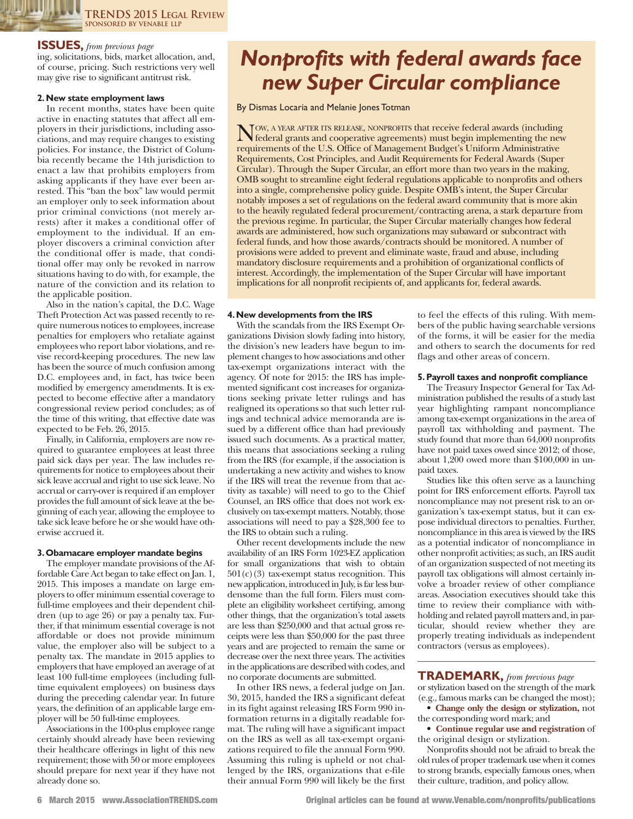**TRENDS 2015 LEGAL REVIEW SPONSORED BY VENABLE LLP**

#### **ISSUES,** *from previous page*

ing, solicitations, bids, market allocation, and, of course, pricing. such restrictions very well may give rise to significant antitrust risk.

#### **2.New state employment laws**

In recent months, states have been quite active in enacting statutes that affect all employers in their jurisdictions, including associations, and may require changes to existing policies. For instance, the District of Columbia recently became the 14th jurisdiction to enact a law that prohibits employers from asking applicants if they have ever been arrested. this "ban the box" law would permit an employer only to seek information about prior criminal convictions (not merely arrests) after it makes a conditional offer of employment to the individual. if an employer discovers a criminal conviction after the conditional offer is made, that conditional offer may only be revoked in narrow situations having to do with, for example, the nature of the conviction and its relation to the applicable position.

Also in the nation's capital, the D.C. Wage Theft Protection Act was passed recently to require numerous notices to employees, increase penalties for employers who retaliate against employees who report labor violations, and revise record-keeping procedures. The new law has been the source of much confusion among D.C. employees and, in fact, has twice been modified by emergency amendments. it is expected to become effective after a mandatory congressional review period concludes; as of the time of this writing, that effective date was expected to be feb. 26, 2015.

finally, in California, employers are now required to guarantee employees at least three paid sick days per year. the law includes requirements for notice to employees about their sick leave accrual and right to use sick leave. No accrual or carry-over is required if an employer provides the full amount of sick leave at the beginning of each year, allowing the employee to take sick leave before he or she would have otherwise accrued it.

#### **3.Obamacare employer mandate begins**

The employer mandate provisions of the Affordable Care Act began to take effect on Jan. 1, 2015. This imposes a mandate on large employers to offer minimum essential coverage to full-time employees and their dependent children (up to age 26) or pay a penalty tax. further, if that minimum essential coverage is not affordable or does not provide minimum value, the employer also will be subject to a penalty tax. The mandate in 2015 applies to employers that have employed an average of at least 100 full-time employees (including fulltime equivalent employees) on business days during the preceding calendar year. In future years, the definition of an applicable large employer will be 50 full-time employees.

Associations in the 100-plus employee range certainly should already have been reviewing their healthcare offerings in light of this new requirement; those with 50 or more employees should prepare for next year if they have not already done so.

### *Nonprofits with federal awards face new Super Circular compliance*

By Dismas Locaria and Melanie Jones Totman

Now, A YEAR AFTER ITS RELEASE, NONPROFITS that receive federal awards (including<br>federal grants and cooperative agreements) must begin implementing the new<br>maximum attack of the U.S. Office of May away and Prelate U.S. Uni requirements of the U.s. office of Management Budget's Uniform Administrative Requirements, Cost Principles, and Audit Requirements for Federal Awards (Super Circular). through the super Circular, an effort more than two years in the making, oMB sought to streamline eight federal regulations applicable to nonprofits and others into a single, comprehensive policy guide. Despite OMB's intent, the Super Circular notably imposes a set of regulations on the federal award community that is more akin to the heavily regulated federal procurement/contracting arena, a stark departure from the previous regime. In particular, the Super Circular materially changes how federal awards are administered, how such organizations may subaward or subcontract with federal funds, and how those awards/contracts should be monitored. A number of provisions were added to prevent and eliminate waste, fraud and abuse, including mandatory disclosure requirements and a prohibition of organizational conflicts of interest. Accordingly, the implementation of the super Circular will have important implications for all nonprofit recipients of, and applicants for, federal awards.

#### **4.New developments from the IRS**

With the scandals from the IRS Exempt Organizations division slowly fading into history, the division's new leaders have begun to implement changes to how associations and other tax-exempt organizations interact with the agency. Of note for 2015: the IRS has implemented significant cost increases for organizations seeking private letter rulings and has realigned its operations so that such letter rulings and technical advice memoranda are issued by a different office than had previously issued such documents. As a practical matter, this means that associations seeking a ruling from the IRS (for example, if the association is undertaking a new activity and wishes to know if the IRS will treat the revenue from that activity as taxable) will need to go to the Chief Counsel, an IRS office that does not work exclusively on tax-exempt matters. Notably, those associations will need to pay a \$28,300 fee to the IRS to obtain such a ruling.

other recent developments include the new availability of an IRS Form 1023-EZ application for small organizations that wish to obtain  $501(c)(3)$  tax-exempt status recognition. This new application, introduced in July, is far less burdensome than the full form. filers must complete an eligibility worksheet certifying, among other things, that the organization's total assets are less than \$250,000 and that actual gross receipts were less than \$50,000 for the past three years and are projected to remain the same or decrease over the next three years. The activities in the applications are described with codes, and no corporate documents are submitted.

In other IRS news, a federal judge on Jan. 30, 2015, handed the IRS a significant defeat in its fight against releasing IRS Form 990 information returns in a digitally readable format. The ruling will have a significant impact on the IRS as well as all tax-exempt organizations required to file the annual form 990. Assuming this ruling is upheld or not challenged by the IRS, organizations that e-file their annual form 990 will likely be the first to feel the effects of this ruling. With members of the public having searchable versions of the forms, it will be easier for the media and others to search the documents for red flags and other areas of concern.

#### **5.Payroll taxes and nonprofit compliance**

The Treasury Inspector General for Tax Administration published the results of a study last year highlighting rampant noncompliance among tax-exempt organizationsin the area of payroll tax withholding and payment. The study found that more than 64,000 nonprofits have not paid taxes owed since 2012; of those, about 1,200 owed more than \$100,000 in unpaid taxes.

studies like this often serve as a launching point for IRS enforcement efforts. Payroll tax noncompliance may not present risk to an organization's tax-exempt status, but it can expose individual directors to penalties. further, noncompliance in this area is viewed by the IRS as a potential indicator of noncompliance in other nonprofit activities; as such, an IRS audit of an organization suspected of not meeting its payroll tax obligations will almost certainly involve a broader review of other compliance areas. Association executives should take this time to review their compliance with withholding and related payroll matters and, in particular, should review whether they are properly treating individuals as independent contractors (versus as employees).

**TRADEMARK,** *from previous page* or stylization based on the strength of the mark (e.g., famous marks can be changed the most);

- **Change only the design or stylization,** not the corresponding word mark; and
- **Continue regular use and registration** of the original design or stylization.

Nonprofits should not be afraid to break the old rules of proper trademark usewhen it comes to strong brands, especially famous ones, when their culture, tradition, and policy allow.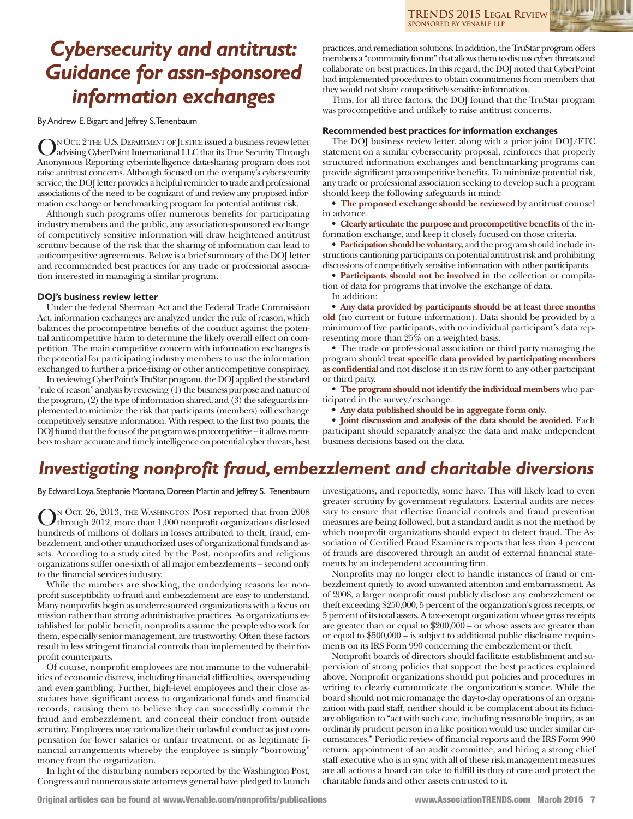**TRENDS 2015 LEGAL REVIEW SPONSORED BY VENABLE LLP**

### *Cybersecurity and antitrust: Guidance for assn-sponsored information exchanges*

ByAndrew E.Bigart and Jeffrey S.Tenenbaum

ON OCT. 2 THE U.S. DEPARTMENT OF JUSTICE issued a business review letter<br>advising CyberPoint International LLC that its True Security Through Anonymous Reporting cyberintelligence data-sharing program does not raise antitrust concerns. Although focused on the company's cybersecurity service, the DOJ letter provides a helpful reminder to trade and professional associations of the need to be cognizant of and review any proposed information exchange or benchmarking program for potential antitrust risk.

Although such programs offer numerous benefits for participating industry members and the public, any association-sponsored exchange of competitively sensitive information will draw heightened antitrust scrutiny because of the risk that the sharing of information can lead to anticompetitive agreements. Below is a brief summary of the DOJ letter and recommended best practices for any trade or professional association interested in managing a similar program.

#### **DOJ's business review letter**

Under the federal Sherman Act and the Federal Trade Commission Act, information exchanges are analyzed under the rule of reason, which balances the procompetitive benefits of the conduct against the potential anticompetitive harm to determine the likely overall effect on competition. The main competitive concern with information exchanges is the potential for participating industry members to use the information exchanged to further a price-fixing or other anticompetitive conspiracy.

In reviewing CyberPoint's TruStar program, the DOJ applied the standard "rule of reason" analysis by reviewing (1) the business purpose and nature of the program,  $(2)$  the type of information shared, and  $(3)$  the safeguards implemented to minimize the risk that participants (members) will exchange competitively sensitive information. With respect to the first two points, the DOJ found that the focus of the program was procompetitive - it allows members to share accurate and timely intelligence on potential cyber threats, best

practices, and remediation solutions. In addition, the TruStar program offers members a "community forum" that allows them to discuss cyber threats and collaborate on best practices. In this regard, the DOJ noted that CyberPoint had implemented procedures to obtain commitments from members that they would notshare competitively sensitive information.

Thus, for all three factors, the DOJ found that the TruStar program was procompetitive and unlikely to raise antitrust concerns.

#### **Recommended best practices for information exchanges**

The DOJ business review letter, along with a prior joint DOJ/FTC statement on a similar cybersecurity proposal, reinforces that properly structured information exchanges and benchmarking programs can provide significant procompetitive benefits. To minimize potential risk, any trade or professional association seeking to develop such a program should keep the following safeguards in mind:

• **The proposed exchange should be reviewed** by antitrust counsel in advance.

• **Clearly articulate the purpose and procompetitive benefits** of the information exchange, and keep it closely focused on those criteria.

• Participation should be voluntary, and the program should include instructions cautioning participants on potential antitrust risk and prohibiting discussions of competitively sensitive information with other participants.

• **Participants should not be involved** in the collection or compilation of data for programs that involve the exchange of data. In addition:

• **Any data provided by participants should be at least three months old** (no current or future information). Data should be provided by a minimum of five participants, with no individual participant's data representing more than 25% on a weighted basis.

• The trade or professional association or third party managing the program should **treat specific data provided by participating members as confidential** and not disclose it in its raw form to any other participant or third party.

• **The program should not identify the individual members** who participated in the survey/exchange.

• **Any data published should be in aggregate form only.**

• **Joint discussion and analysis of the data should be avoided.** each participant should separately analyze the data and make independent business decisions based on the data.

### *Investigating nonprofit fraud, embezzlement and charitable diversions*

By Edward Loya, Stephanie Montano, Doreen Martin and Jeffrey S. Tenenbaum

N OCT. 26, 2013, THE WASHINGTON POST reported that from 2008 through 2012, more than 1,000 nonprofit organizations disclosed hundreds of millions of dollars in losses attributed to theft, fraud, embezzlement, and other unauthorized uses of organizational funds and assets. According to a study cited by the Post, nonprofits and religious organizationssuffer one-sixth of all major embezzlements – second only to the financial services industry.

While the numbers are shocking, the underlying reasons for nonprofit susceptibility to fraud and embezzlement are easy to understand. Many nonprofits begin as underresourced organizations with a focus on mission rather than strong administrative practices. As organizations established for public benefit, nonprofits assume the people who work for them, especially senior management, are trustworthy. Often these factors result in less stringent financial controls than implemented by their forprofit counterparts.

of course, nonprofit employees are not immune to the vulnerabilities of economic distress, including financial difficulties, overspending and even gambling. further, high-level employees and their close associates have significant access to organizational funds and financial records, causing them to believe they can successfully commit the fraud and embezzlement, and conceal their conduct from outside scrutiny. Employees may rationalize their unlawful conduct as just compensation for lower salaries or unfair treatment, or as legitimate financial arrangements whereby the employee is simply "borrowing" money from the organization.

In light of the disturbing numbers reported by the Washington Post, Congress and numerous state attorneys general have pledged to launch

investigations, and reportedly, some have. this will likely lead to even greater scrutiny by government regulators. External audits are necessary to ensure that effective financial controls and fraud prevention measures are being followed, but a standard audit is not the method by which nonprofit organizations should expect to detect fraud. The Association of Certified Fraud Examiners reports that less than 4 percent of frauds are discovered through an audit of external financial statements by an independent accounting firm.

Nonprofits may no longer elect to handle instances of fraud or embezzlement quietly to avoid unwanted attention and embarrassment. As of 2008, a larger nonprofit must publicly disclose any embezzlement or theft exceeding \$250,000, 5 percent of the organization's gross receipts, or 5 percent ofitstotal assets.Atax-exempt organizationwhose gross receipts are greater than or equal to \$200,000 – or whose assets are greater than or equal to \$500,000 – is subject to additional public disclosure requirements on its IRS Form 990 concerning the embezzlement or theft.

nonprofit boards of directors should facilitate establishment and supervision of strong policies that support the best practices explained above. Nonprofit organizations should put policies and procedures in writing to clearly communicate the organization's stance. While the board should not micromanage the day-to-day operations of an organization with paid staff, neither should it be complacent about its fiduciary obligation to "act with such care, including reasonable inquiry, as an ordinarily prudent person in a like position would use under similar circumstances." Periodic review of financial reports and the IRS Form 990 return, appointment of an audit committee, and hiring a strong chief staff executive who is in sync with all of these risk management measures are all actions a board can take to fulfill its duty of care and protect the charitable funds and other assets entrusted to it.